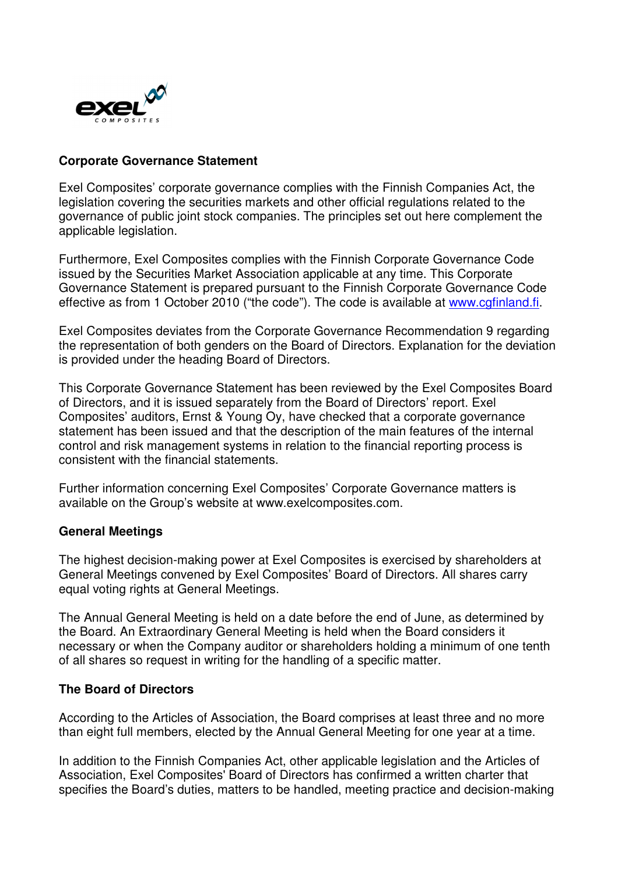

## **Corporate Governance Statement**

Exel Composites' corporate governance complies with the Finnish Companies Act, the legislation covering the securities markets and other official regulations related to the governance of public joint stock companies. The principles set out here complement the applicable legislation.

Furthermore, Exel Composites complies with the Finnish Corporate Governance Code issued by the Securities Market Association applicable at any time. This Corporate Governance Statement is prepared pursuant to the Finnish Corporate Governance Code effective as from 1 October 2010 ("the code"). The code is available at www.cgfinland.fi.

Exel Composites deviates from the Corporate Governance Recommendation 9 regarding the representation of both genders on the Board of Directors. Explanation for the deviation is provided under the heading Board of Directors.

This Corporate Governance Statement has been reviewed by the Exel Composites Board of Directors, and it is issued separately from the Board of Directors' report. Exel Composites' auditors, Ernst & Young Oy, have checked that a corporate governance statement has been issued and that the description of the main features of the internal control and risk management systems in relation to the financial reporting process is consistent with the financial statements.

Further information concerning Exel Composites' Corporate Governance matters is available on the Group's website at www.exelcomposites.com.

### **General Meetings**

The highest decision-making power at Exel Composites is exercised by shareholders at General Meetings convened by Exel Composites' Board of Directors. All shares carry equal voting rights at General Meetings.

The Annual General Meeting is held on a date before the end of June, as determined by the Board. An Extraordinary General Meeting is held when the Board considers it necessary or when the Company auditor or shareholders holding a minimum of one tenth of all shares so request in writing for the handling of a specific matter.

### **The Board of Directors**

According to the Articles of Association, the Board comprises at least three and no more than eight full members, elected by the Annual General Meeting for one year at a time.

In addition to the Finnish Companies Act, other applicable legislation and the Articles of Association, Exel Composites' Board of Directors has confirmed a written charter that specifies the Board's duties, matters to be handled, meeting practice and decision-making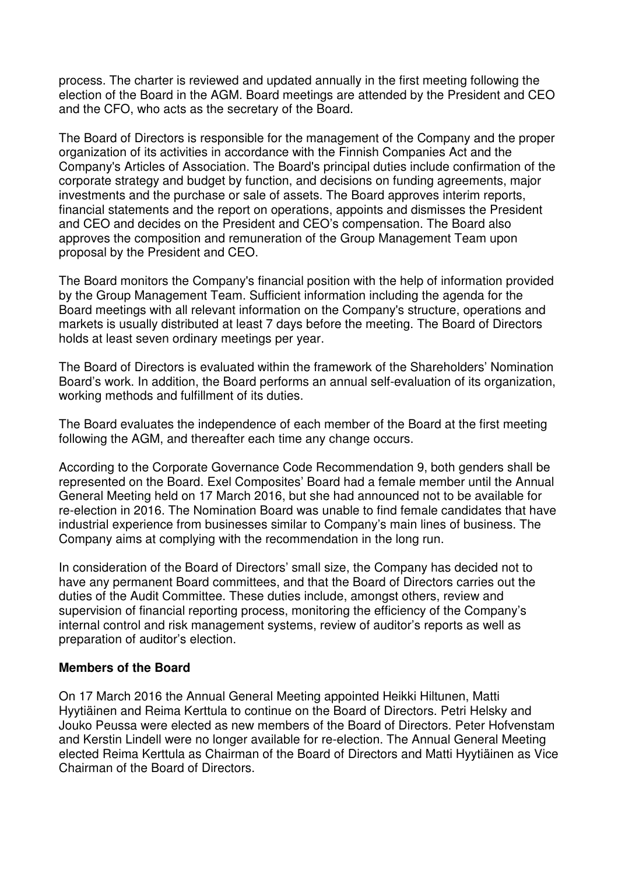process. The charter is reviewed and updated annually in the first meeting following the election of the Board in the AGM. Board meetings are attended by the President and CEO and the CFO, who acts as the secretary of the Board.

The Board of Directors is responsible for the management of the Company and the proper organization of its activities in accordance with the Finnish Companies Act and the Company's Articles of Association. The Board's principal duties include confirmation of the corporate strategy and budget by function, and decisions on funding agreements, major investments and the purchase or sale of assets. The Board approves interim reports, financial statements and the report on operations, appoints and dismisses the President and CEO and decides on the President and CEO's compensation. The Board also approves the composition and remuneration of the Group Management Team upon proposal by the President and CEO.

The Board monitors the Company's financial position with the help of information provided by the Group Management Team. Sufficient information including the agenda for the Board meetings with all relevant information on the Company's structure, operations and markets is usually distributed at least 7 days before the meeting. The Board of Directors holds at least seven ordinary meetings per year.

The Board of Directors is evaluated within the framework of the Shareholders' Nomination Board's work. In addition, the Board performs an annual self-evaluation of its organization, working methods and fulfillment of its duties.

The Board evaluates the independence of each member of the Board at the first meeting following the AGM, and thereafter each time any change occurs.

According to the Corporate Governance Code Recommendation 9, both genders shall be represented on the Board. Exel Composites' Board had a female member until the Annual General Meeting held on 17 March 2016, but she had announced not to be available for re-election in 2016. The Nomination Board was unable to find female candidates that have industrial experience from businesses similar to Company's main lines of business. The Company aims at complying with the recommendation in the long run.

In consideration of the Board of Directors' small size, the Company has decided not to have any permanent Board committees, and that the Board of Directors carries out the duties of the Audit Committee. These duties include, amongst others, review and supervision of financial reporting process, monitoring the efficiency of the Company's internal control and risk management systems, review of auditor's reports as well as preparation of auditor's election.

### **Members of the Board**

On 17 March 2016 the Annual General Meeting appointed Heikki Hiltunen, Matti Hyytiäinen and Reima Kerttula to continue on the Board of Directors. Petri Helsky and Jouko Peussa were elected as new members of the Board of Directors. Peter Hofvenstam and Kerstin Lindell were no longer available for re-election. The Annual General Meeting elected Reima Kerttula as Chairman of the Board of Directors and Matti Hyytiäinen as Vice Chairman of the Board of Directors.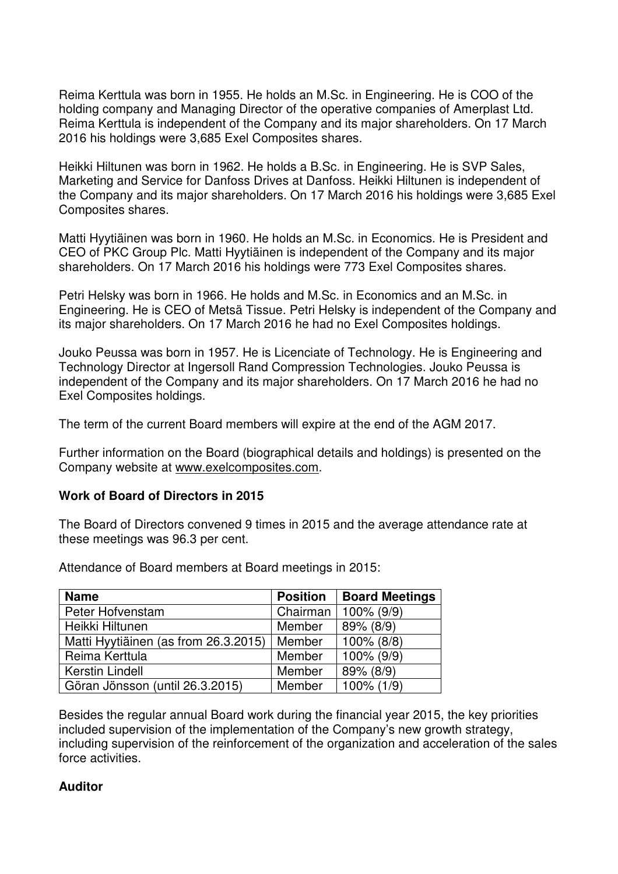Reima Kerttula was born in 1955. He holds an M.Sc. in Engineering. He is COO of the holding company and Managing Director of the operative companies of Amerplast Ltd. Reima Kerttula is independent of the Company and its major shareholders. On 17 March 2016 his holdings were 3,685 Exel Composites shares.

Heikki Hiltunen was born in 1962. He holds a B.Sc. in Engineering. He is SVP Sales, Marketing and Service for Danfoss Drives at Danfoss. Heikki Hiltunen is independent of the Company and its major shareholders. On 17 March 2016 his holdings were 3,685 Exel Composites shares.

Matti Hyytiäinen was born in 1960. He holds an M.Sc. in Economics. He is President and CEO of PKC Group Plc. Matti Hyytiäinen is independent of the Company and its major shareholders. On 17 March 2016 his holdings were 773 Exel Composites shares.

Petri Helsky was born in 1966. He holds and M.Sc. in Economics and an M.Sc. in Engineering. He is CEO of Metsä Tissue. Petri Helsky is independent of the Company and its major shareholders. On 17 March 2016 he had no Exel Composites holdings.

Jouko Peussa was born in 1957. He is Licenciate of Technology. He is Engineering and Technology Director at Ingersoll Rand Compression Technologies. Jouko Peussa is independent of the Company and its major shareholders. On 17 March 2016 he had no Exel Composites holdings.

The term of the current Board members will expire at the end of the AGM 2017.

Further information on the Board (biographical details and holdings) is presented on the Company website at www.exelcomposites.com.

### **Work of Board of Directors in 2015**

The Board of Directors convened 9 times in 2015 and the average attendance rate at these meetings was 96.3 per cent.

Attendance of Board members at Board meetings in 2015:

| <b>Name</b>                          | <b>Position</b> | <b>Board Meetings</b> |
|--------------------------------------|-----------------|-----------------------|
| Peter Hofvenstam                     | Chairman        | $100\%$ (9/9)         |
| Heikki Hiltunen                      | Member          | 89% (8/9)             |
| Matti Hyytiäinen (as from 26.3.2015) | Member          | 100% (8/8)            |
| Reima Kerttula                       | Member          | 100% (9/9)            |
| <b>Kerstin Lindell</b>               | Member          | 89% (8/9)             |
| Göran Jönsson (until 26.3.2015)      | Member          | 100% (1/9)            |

Besides the regular annual Board work during the financial year 2015, the key priorities included supervision of the implementation of the Company's new growth strategy, including supervision of the reinforcement of the organization and acceleration of the sales force activities.

### **Auditor**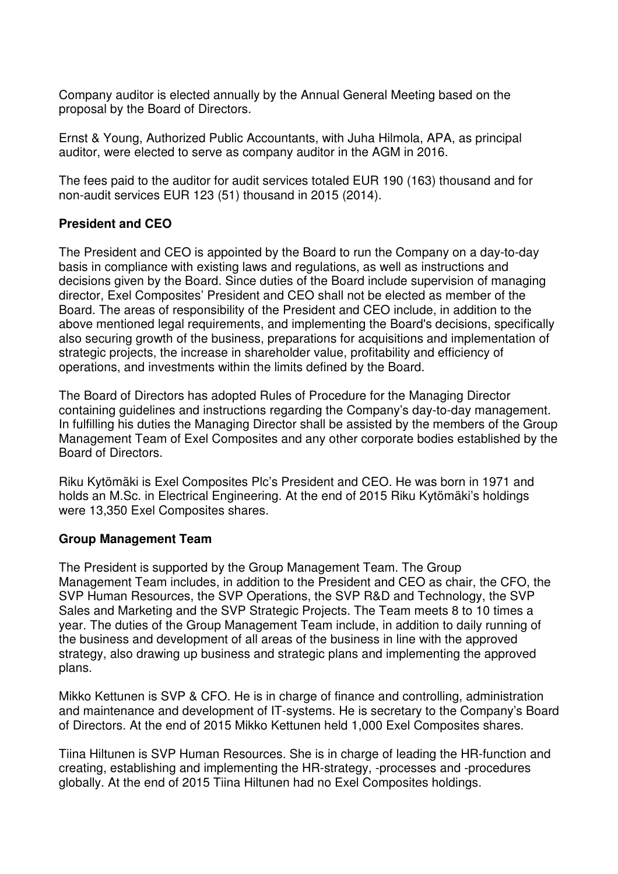Company auditor is elected annually by the Annual General Meeting based on the proposal by the Board of Directors.

Ernst & Young, Authorized Public Accountants, with Juha Hilmola, APA, as principal auditor, were elected to serve as company auditor in the AGM in 2016.

The fees paid to the auditor for audit services totaled EUR 190 (163) thousand and for non-audit services EUR 123 (51) thousand in 2015 (2014).

# **President and CEO**

The President and CEO is appointed by the Board to run the Company on a day-to-day basis in compliance with existing laws and regulations, as well as instructions and decisions given by the Board. Since duties of the Board include supervision of managing director, Exel Composites' President and CEO shall not be elected as member of the Board. The areas of responsibility of the President and CEO include, in addition to the above mentioned legal requirements, and implementing the Board's decisions, specifically also securing growth of the business, preparations for acquisitions and implementation of strategic projects, the increase in shareholder value, profitability and efficiency of operations, and investments within the limits defined by the Board.

The Board of Directors has adopted Rules of Procedure for the Managing Director containing guidelines and instructions regarding the Company's day-to-day management. In fulfilling his duties the Managing Director shall be assisted by the members of the Group Management Team of Exel Composites and any other corporate bodies established by the Board of Directors.

Riku Kytömäki is Exel Composites Plc's President and CEO. He was born in 1971 and holds an M.Sc. in Electrical Engineering. At the end of 2015 Riku Kytömäki's holdings were 13,350 Exel Composites shares.

### **Group Management Team**

The President is supported by the Group Management Team. The Group Management Team includes, in addition to the President and CEO as chair, the CFO, the SVP Human Resources, the SVP Operations, the SVP R&D and Technology, the SVP Sales and Marketing and the SVP Strategic Projects. The Team meets 8 to 10 times a year. The duties of the Group Management Team include, in addition to daily running of the business and development of all areas of the business in line with the approved strategy, also drawing up business and strategic plans and implementing the approved plans.

Mikko Kettunen is SVP & CFO. He is in charge of finance and controlling, administration and maintenance and development of IT-systems. He is secretary to the Company's Board of Directors. At the end of 2015 Mikko Kettunen held 1,000 Exel Composites shares.

Tiina Hiltunen is SVP Human Resources. She is in charge of leading the HR-function and creating, establishing and implementing the HR-strategy, -processes and -procedures globally. At the end of 2015 Tiina Hiltunen had no Exel Composites holdings.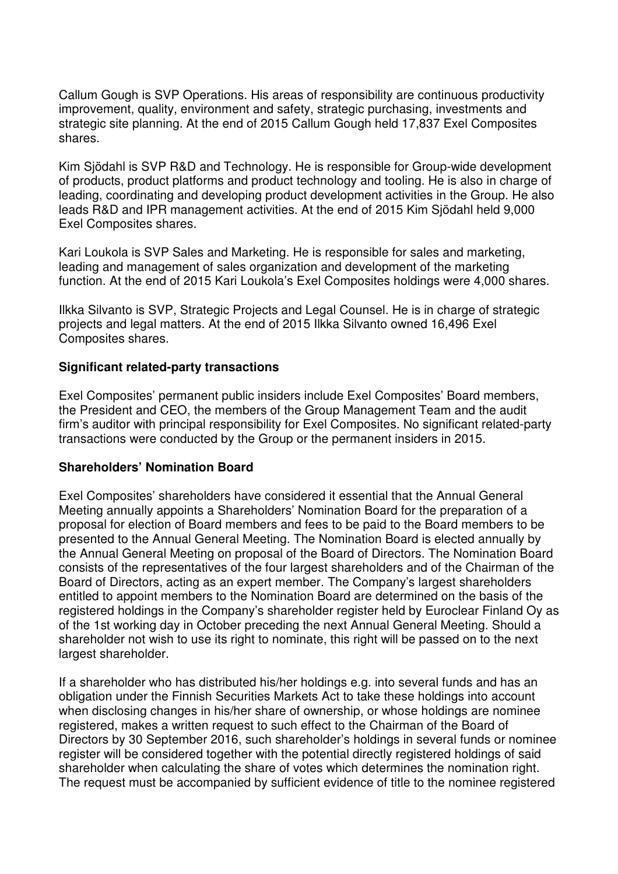Callum Gough is SVP Operations. His areas of responsibility are continuous productivity improvement, quality, environment and safety, strategic purchasing, investments and strategic site planning. At the end of 2015 Callum Gough held 17,837 Exel Composites shares.

Kim Sjödahl is SVP R&D and Technology. He is responsible for Group-wide development of products, product platforms and product technology and tooling. He is also in charge of leading, coordinating and developing product development activities in the Group. He also leads R&D and IPR management activities. At the end of 2015 Kim Sjödahl held 9,000 Exel Composites shares.

Kari Loukola is SVP Sales and Marketing. He is responsible for sales and marketing, leading and management of sales organization and development of the marketing function. At the end of 2015 Kari Loukola's Exel Composites holdings were 4,000 shares.

Ilkka Silvanto is SVP, Strategic Projects and Legal Counsel. He is in charge of strategic projects and legal matters. At the end of 2015 Ilkka Silvanto owned 16,496 Exel Composites shares.

### **Significant related-party transactions**

Exel Composites' permanent public insiders include Exel Composites' Board members, the President and CEO, the members of the Group Management Team and the audit firm's auditor with principal responsibility for Exel Composites. No significant related-party transactions were conducted by the Group or the permanent insiders in 2015.

### **Shareholders' Nomination Board**

Exel Composites' shareholders have considered it essential that the Annual General Meeting annually appoints a Shareholders' Nomination Board for the preparation of a proposal for election of Board members and fees to be paid to the Board members to be presented to the Annual General Meeting. The Nomination Board is elected annually by the Annual General Meeting on proposal of the Board of Directors. The Nomination Board consists of the representatives of the four largest shareholders and of the Chairman of the Board of Directors, acting as an expert member. The Company's largest shareholders entitled to appoint members to the Nomination Board are determined on the basis of the registered holdings in the Company's shareholder register held by Euroclear Finland Oy as of the 1st working day in October preceding the next Annual General Meeting. Should a shareholder not wish to use its right to nominate, this right will be passed on to the next largest shareholder.

If a shareholder who has distributed his/her holdings e.g. into several funds and has an obligation under the Finnish Securities Markets Act to take these holdings into account when disclosing changes in his/her share of ownership, or whose holdings are nominee registered, makes a written request to such effect to the Chairman of the Board of Directors by 30 September 2016, such shareholder's holdings in several funds or nominee register will be considered together with the potential directly registered holdings of said shareholder when calculating the share of votes which determines the nomination right. The request must be accompanied by sufficient evidence of title to the nominee registered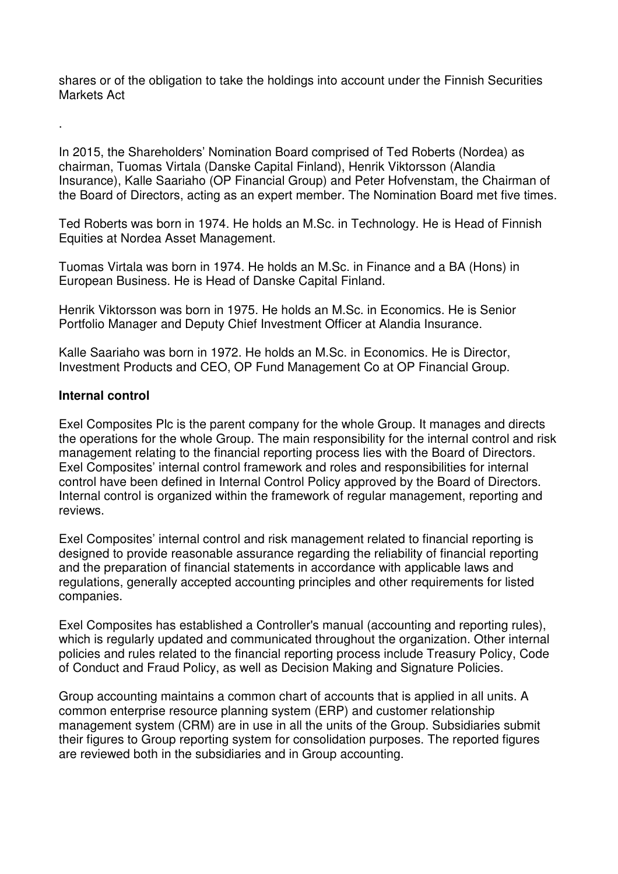shares or of the obligation to take the holdings into account under the Finnish Securities Markets Act

In 2015, the Shareholders' Nomination Board comprised of Ted Roberts (Nordea) as chairman, Tuomas Virtala (Danske Capital Finland), Henrik Viktorsson (Alandia Insurance), Kalle Saariaho (OP Financial Group) and Peter Hofvenstam, the Chairman of the Board of Directors, acting as an expert member. The Nomination Board met five times.

Ted Roberts was born in 1974. He holds an M.Sc. in Technology. He is Head of Finnish Equities at Nordea Asset Management.

Tuomas Virtala was born in 1974. He holds an M.Sc. in Finance and a BA (Hons) in European Business. He is Head of Danske Capital Finland.

Henrik Viktorsson was born in 1975. He holds an M.Sc. in Economics. He is Senior Portfolio Manager and Deputy Chief Investment Officer at Alandia Insurance.

Kalle Saariaho was born in 1972. He holds an M.Sc. in Economics. He is Director, Investment Products and CEO, OP Fund Management Co at OP Financial Group.

### **Internal control**

.

Exel Composites Plc is the parent company for the whole Group. It manages and directs the operations for the whole Group. The main responsibility for the internal control and risk management relating to the financial reporting process lies with the Board of Directors. Exel Composites' internal control framework and roles and responsibilities for internal control have been defined in Internal Control Policy approved by the Board of Directors. Internal control is organized within the framework of regular management, reporting and reviews.

Exel Composites' internal control and risk management related to financial reporting is designed to provide reasonable assurance regarding the reliability of financial reporting and the preparation of financial statements in accordance with applicable laws and regulations, generally accepted accounting principles and other requirements for listed companies.

Exel Composites has established a Controller's manual (accounting and reporting rules), which is regularly updated and communicated throughout the organization. Other internal policies and rules related to the financial reporting process include Treasury Policy, Code of Conduct and Fraud Policy, as well as Decision Making and Signature Policies.

Group accounting maintains a common chart of accounts that is applied in all units. A common enterprise resource planning system (ERP) and customer relationship management system (CRM) are in use in all the units of the Group. Subsidiaries submit their figures to Group reporting system for consolidation purposes. The reported figures are reviewed both in the subsidiaries and in Group accounting.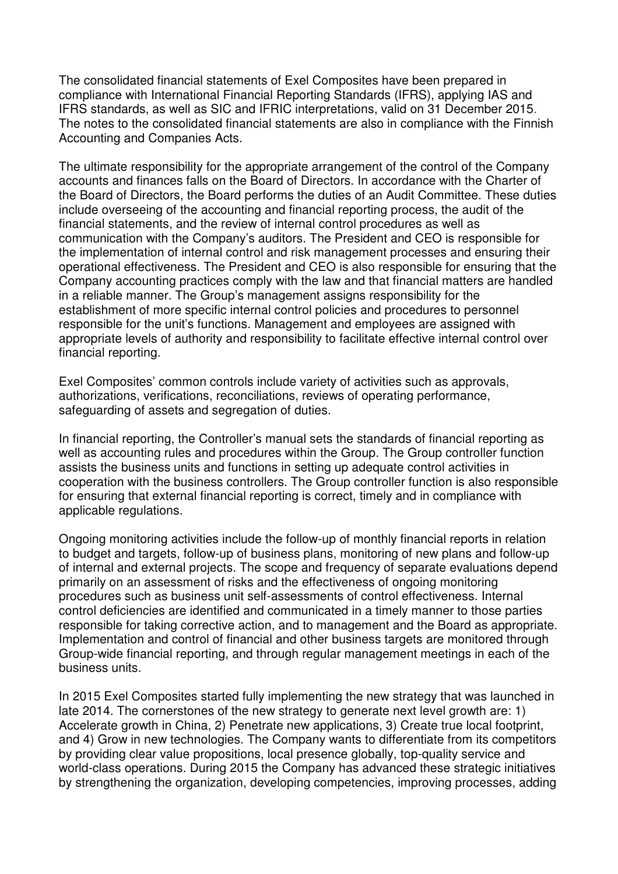The consolidated financial statements of Exel Composites have been prepared in compliance with International Financial Reporting Standards (IFRS), applying IAS and IFRS standards, as well as SIC and IFRIC interpretations, valid on 31 December 2015. The notes to the consolidated financial statements are also in compliance with the Finnish Accounting and Companies Acts.

The ultimate responsibility for the appropriate arrangement of the control of the Company accounts and finances falls on the Board of Directors. In accordance with the Charter of the Board of Directors, the Board performs the duties of an Audit Committee. These duties include overseeing of the accounting and financial reporting process, the audit of the financial statements, and the review of internal control procedures as well as communication with the Company's auditors. The President and CEO is responsible for the implementation of internal control and risk management processes and ensuring their operational effectiveness. The President and CEO is also responsible for ensuring that the Company accounting practices comply with the law and that financial matters are handled in a reliable manner. The Group's management assigns responsibility for the establishment of more specific internal control policies and procedures to personnel responsible for the unit's functions. Management and employees are assigned with appropriate levels of authority and responsibility to facilitate effective internal control over financial reporting.

Exel Composites' common controls include variety of activities such as approvals, authorizations, verifications, reconciliations, reviews of operating performance, safeguarding of assets and segregation of duties.

In financial reporting, the Controller's manual sets the standards of financial reporting as well as accounting rules and procedures within the Group. The Group controller function assists the business units and functions in setting up adequate control activities in cooperation with the business controllers. The Group controller function is also responsible for ensuring that external financial reporting is correct, timely and in compliance with applicable regulations.

Ongoing monitoring activities include the follow-up of monthly financial reports in relation to budget and targets, follow-up of business plans, monitoring of new plans and follow-up of internal and external projects. The scope and frequency of separate evaluations depend primarily on an assessment of risks and the effectiveness of ongoing monitoring procedures such as business unit self-assessments of control effectiveness. Internal control deficiencies are identified and communicated in a timely manner to those parties responsible for taking corrective action, and to management and the Board as appropriate. Implementation and control of financial and other business targets are monitored through Group-wide financial reporting, and through regular management meetings in each of the business units.

In 2015 Exel Composites started fully implementing the new strategy that was launched in late 2014. The cornerstones of the new strategy to generate next level growth are: 1) Accelerate growth in China, 2) Penetrate new applications, 3) Create true local footprint, and 4) Grow in new technologies. The Company wants to differentiate from its competitors by providing clear value propositions, local presence globally, top-quality service and world-class operations. During 2015 the Company has advanced these strategic initiatives by strengthening the organization, developing competencies, improving processes, adding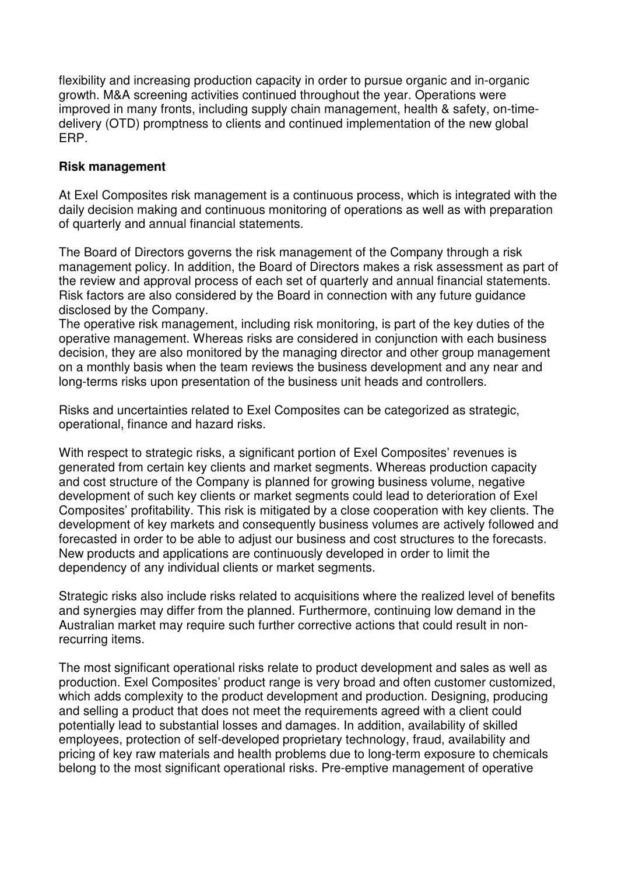flexibility and increasing production capacity in order to pursue organic and in-organic growth. M&A screening activities continued throughout the year. Operations were improved in many fronts, including supply chain management, health & safety, on-timedelivery (OTD) promptness to clients and continued implementation of the new global ERP.

# **Risk management**

At Exel Composites risk management is a continuous process, which is integrated with the daily decision making and continuous monitoring of operations as well as with preparation of quarterly and annual financial statements.

The Board of Directors governs the risk management of the Company through a risk management policy. In addition, the Board of Directors makes a risk assessment as part of the review and approval process of each set of quarterly and annual financial statements. Risk factors are also considered by the Board in connection with any future guidance disclosed by the Company.

The operative risk management, including risk monitoring, is part of the key duties of the operative management. Whereas risks are considered in conjunction with each business decision, they are also monitored by the managing director and other group management on a monthly basis when the team reviews the business development and any near and long-terms risks upon presentation of the business unit heads and controllers.

Risks and uncertainties related to Exel Composites can be categorized as strategic, operational, finance and hazard risks.

With respect to strategic risks, a significant portion of Exel Composites' revenues is generated from certain key clients and market segments. Whereas production capacity and cost structure of the Company is planned for growing business volume, negative development of such key clients or market segments could lead to deterioration of Exel Composites' profitability. This risk is mitigated by a close cooperation with key clients. The development of key markets and consequently business volumes are actively followed and forecasted in order to be able to adjust our business and cost structures to the forecasts. New products and applications are continuously developed in order to limit the dependency of any individual clients or market segments.

Strategic risks also include risks related to acquisitions where the realized level of benefits and synergies may differ from the planned. Furthermore, continuing low demand in the Australian market may require such further corrective actions that could result in nonrecurring items.

The most significant operational risks relate to product development and sales as well as production. Exel Composites' product range is very broad and often customer customized, which adds complexity to the product development and production. Designing, producing and selling a product that does not meet the requirements agreed with a client could potentially lead to substantial losses and damages. In addition, availability of skilled employees, protection of self-developed proprietary technology, fraud, availability and pricing of key raw materials and health problems due to long-term exposure to chemicals belong to the most significant operational risks. Pre-emptive management of operative